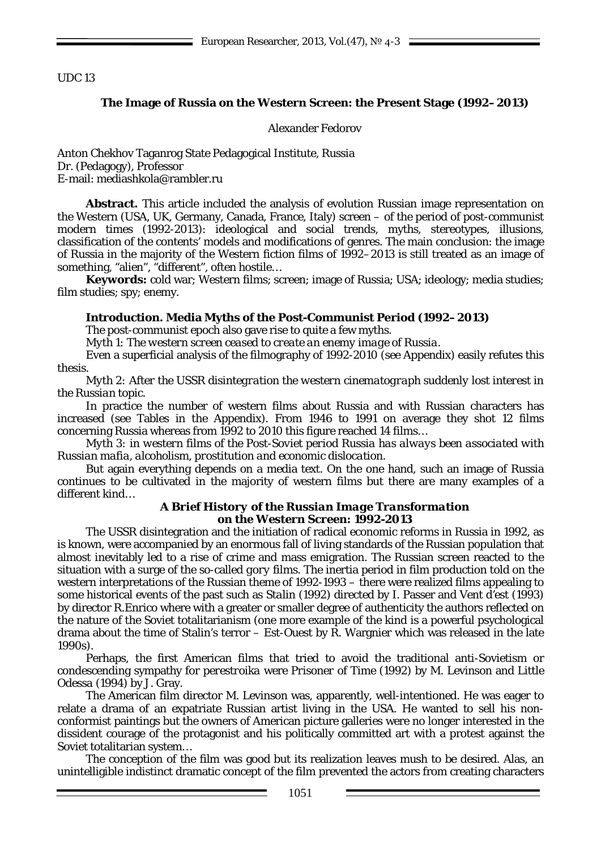# UDC 13

# **The Image of Russia on the Western Screen: the Present Stage (1992–2013)**

### Alexander Fedorov

Anton Chekhov Taganrog State Pedagogical Institute, Russia Dr. (Pedagogy), Professor E-mail: mediashkola@rambler.ru

**Abstract.** This article included the analysis of evolution Russian image representation on the Western (USA, UK, Germany, Canada, France, Italy) screen – of the period of post-communist modern times (1992-2013): ideological and social trends, myths, stereotypes, illusions, classification of the contents' models and modifications of genres. The main conclusion: the image of Russia in the majority of the Western fiction films of 1992–2013 is still treated as an image of something, "alien", "different", often hostile…

**Keywords:** cold war; Western films; screen; image of Russia; USA; ideology; media studies; film studies; spy; enemy.

### **Introduction. Media Myths of the Post-Communist Period (1992–2013)**

The post-communist epoch also gave rise to quite a few myths.

*Myth 1: The western screen ceased to create an enemy image of Russia.*

Even a superficial analysis of the filmography of 1992-2010 (see Appendix) easily refutes this thesis.

*Myth 2: After the USSR disintegration the western cinematograph suddenly lost interest in the Russian topic.*

In practice the number of western films about Russia and with Russian characters has increased (see Tables in the Appendix). From 1946 to 1991 on average they shot 12 films concerning Russia whereas from 1992 to 2010 this figure reached 14 films…

*Myth 3: in western films of the Post-Soviet period Russia has always been associated with Russian mafia, alcoholism, prostitution and economic dislocation.*

But again everything depends on a media text. On the one hand, such an image of Russia continues to be cultivated in the majority of western films but there are many examples of a different kind…

#### *A Brief History of the Russian Image Transformation on the Western Screen: 1992-2013*

The USSR disintegration and the initiation of radical economic reforms in Russia in 1992, as is known, were accompanied by an enormous fall of living standards of the Russian population that almost inevitably led to a rise of crime and mass emigration. The Russian screen reacted to the situation with a surge of the so-called *gory films.* The inertia period in film production told on the western interpretations of the Russian theme of 1992-1993 – there were realized films appealing to some historical events of the past such as *Stalin* (1992) directed by I. Passer and *Vent d'est* (1993) by director R.Enrico where with a greater or smaller degree of authenticity the authors reflected on the nature of the Soviet totalitarianism (one more example of the kind is a powerful psychological drama about the time of Stalin's terror – *Est-Ouest* by R. Wargnier which was released in the late 1990s).

Perhaps, the first American films that tried to avoid the traditional anti-Sovietism or condescending sympathy for *perestroika* were *Prisoner of Time* (1992) by M. Levinson and *Little Odessa* (1994) by J. Gray.

The American film director M. Levinson was, apparently, well-intentioned. He was eager to relate a drama of an expatriate Russian artist living in the USA. He wanted to sell his nonconformist paintings but the owners of American picture galleries were no longer interested in the dissident courage of the protagonist and his politically committed art with a protest against the Soviet totalitarian system…

The conception of the film was good but its realization leaves mush to be desired. Alas, an unintelligible indistinct dramatic concept of the film prevented the actors from creating characters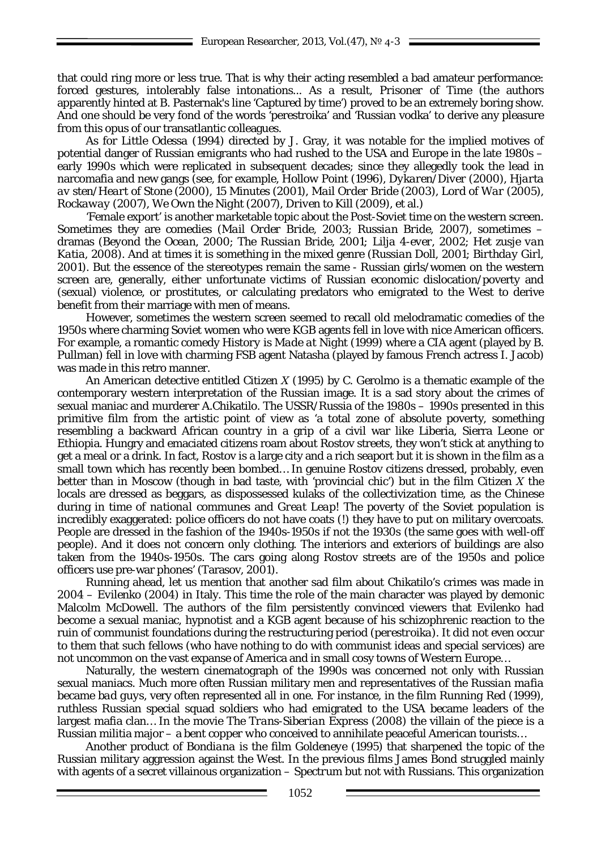that could ring more or less true. That is why their acting resembled a bad amateur performance: forced gestures, intolerably false intonations... As a result, *Prisoner of Time* (the authors apparently hinted at B. Pasternak's line 'Captured by time') proved to be an extremely boring show. And one should be very fond of the words 'perestroika' and 'Russian vodka' to derive any pleasure from this opus of our transatlantic colleagues.

As for *Little Odessa* (1994) directed by J. Gray, it was notable for the implied motives of potential danger of Russian emigrants who had rushed to the USA and Europe in the late 1980s – early 1990s which were replicated in subsequent decades; since they allegedly took the lead in narcomafia and new gangs (see, for example, *Hollow Point* (1996), *Dykaren/Diver* (2000), *Hjarta av sten/Heart of Stone* (2000), *15 Minutes* (2001), *Mail Order Bride* (2003), *Lord of War* (2005), *Rockaway* (2007), *We Own the Night* (2007), *Driven to Kill* (2009), et al.)

'Female export' is another marketable topic about the Post-Soviet time on the western screen*.*  Sometimes they are comedies (*Mail Order Bride*, 2003; *Russian Bride, 2007),* sometimes – dramas (*Beyond the Ocean,* 2000; *The Russian Bride, 2001; Lilja 4-ever,* 2002; *Het zusje van Katia*, 2008). And at times it is something in the mixed genre (*Russian Doll,* 2001; *Birthday Girl,*  2001). But the essence of the stereotypes remain the same - Russian girls/women on the western screen are, generally, either unfortunate victims of Russian economic dislocation/poverty and (sexual) violence, or prostitutes, or calculating predators who emigrated to the West to derive benefit from their marriage with men of means.

However, sometimes the western screen seemed to recall old melodramatic comedies of the 1950s where charming Soviet women who were KGB agents fell in love with nice American officers. For example, a romantic comedy *History is Made at Night* (1999) where a CIA agent (played by B. Pullman) fell in love with charming FSB agent Natasha (played by famous French actress I. Jacob) was made in this retro manner.

An American detective entitled *Citizen Х* (1995) by C. Gerolmo is a thematic example of the contemporary western interpretation of the Russian image. It is a sad story about the crimes of sexual maniac and murderer A.Chikatilo. The USSR/Russia of the 1980s – 1990s presented in this primitive film from the artistic point of view as 'a total zone of absolute poverty, something resembling a backward African country in a grip of a civil war like Liberia, Sierra Leone or Ethiopia. Hungry and emaciated citizens roam about Rostov streets, they won't stick at anything to get a meal or a drink. In fact, Rostov is a large city and a rich seaport but it is shown in the film as a small town which has recently been bombed… In genuine Rostov citizens dressed, probably, even better than in Moscow (though in bad taste, with 'provincial chic') but in the film *Citizen Х* the locals are dressed as beggars, as dispossessed kulaks of the collectivization time, as the Chinese during in time of *national communes* and *Great Leap*! The poverty of the Soviet population is incredibly exaggerated: police officers do not have coats (!) they have to put on military overcoats. People are dressed in the fashion of the 1940s-1950s if not the 1930s (the same goes with well-off people). And it does not concern only clothing. The interiors and exteriors of buildings are also taken from the 1940s-1950s. The cars going along Rostov streets are of the 1950s and police officers use pre-war phones' (Tarasov, 2001).

Running ahead, let us mention that another sad film about Chikatilo's crimes was made in 2004 – *Evilenko* (2004) in Italy. This time the role of the main character was played by demonic Malcolm McDowell. The authors of the film persistently convinced viewers that Evilenko had become a sexual maniac, hypnotist and a KGB agent because of his schizophrenic reaction to the ruin of communist foundations during the restructuring period (*perestroika*). It did not even occur to them that such fellows (who have nothing to do with communist ideas and special services) are not uncommon on the vast expanse of America and in small cosy towns of Western Europe…

Naturally, the western cinematograph of the 1990s was concerned not only with Russian sexual maniacs. Much more often Russian military men and representatives of the *Russian mafia* became *bad guys,* very often represented all in one. For instance, in the film *Running Red* (1999), ruthless Russian special squad soldiers who had emigrated to the USA became leaders of the largest mafia clan… In the movie *The Trans-Siberian Express* (2008) the villain of the piece is a Russian militia major – a *bent copper who* conceived to annihilate peaceful American tourists…

Another product of *Bondiana* is the film *Goldeneye* (1995) that sharpened the topic of the Russian military aggression against the West. In the previous films James Bond struggled mainly with agents of a secret villainous organization – *Spectrum* but not with Russians. This organization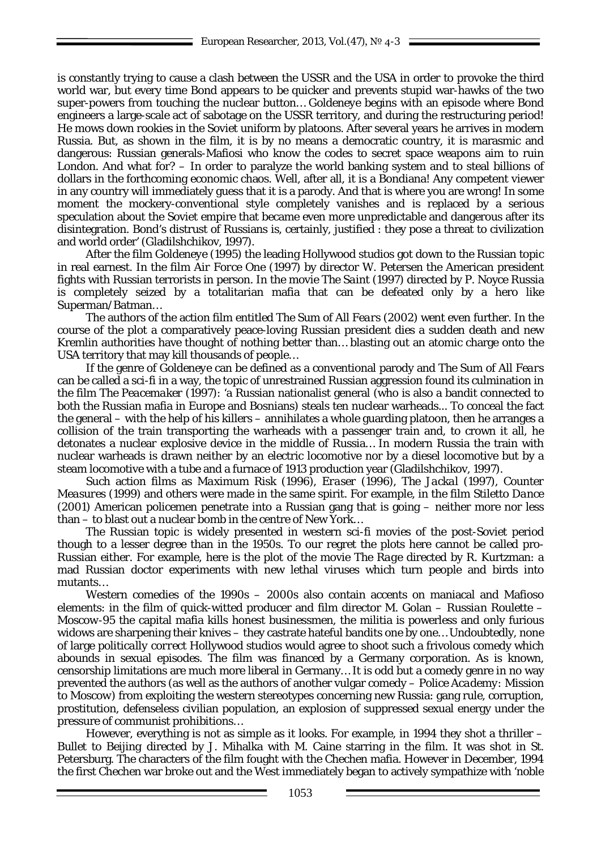is constantly trying to cause a clash between the USSR and the USA in order to provoke the third world war, but every time Bond appears to be quicker and prevents stupid war-hawks of the two super-powers from touching the nuclear button… *Goldeneye* begins with an episode where Bond engineers a large-scale act of sabotage on the USSR territory, and during the restructuring period! He mows down rookies in the Soviet uniform by platoons. After several years he arrives in modern Russia. But, as shown in the film, it is by no means a democratic country, it is marasmic and dangerous: Russian generals-Mafiosi who know the codes to secret space weapons aim to ruin London. And what for? – In order to paralyze the world banking system and to steal billions of dollars in the forthcoming economic chaos. Well, after all, it is a Bondiana! Any competent viewer in any country will immediately guess that it is a parody. And that is where you are wrong! In some moment the mockery-conventional style completely vanishes and is replaced by a serious speculation about the Soviet empire that became even more unpredictable and dangerous after its disintegration. Bond's distrust of Russians is, certainly, justified : they pose a threat to civilization and world order' (Gladilshchikov, 1997).

After the film *Goldeneye* (1995) the leading Hollywood studios got down to the Russian topic in real earnest. In the film *Air Force One* (1997) by director W. Petersen the American president fights with Russian terrorists in person. In the movie *The Saint* (1997) directed by P. Noyce Russia is completely seized by a totalitarian mafia that can be defeated only by a hero like Superman/Batman…

The authors of the action film entitled *The Sum of All Fears* (2002) went even further. In the course of the plot a comparatively peace-loving Russian president dies a sudden death and new Kremlin authorities have thought of nothing better than… blasting out an atomic charge onto the USA territory that may kill thousands of people…

If the genre of *Goldeneye* can be defined as a conventional parody and *The Sum of All Fears*  can be called a sci-fi in a way, the topic of unrestrained Russian aggression found its culmination in the film *The Peacemaker* (1997): 'a Russian nationalist general (who is also a bandit connected to both the Russian mafia in Europe and Bosnians) steals ten nuclear warheads... To conceal the fact the general – with the help of his killers – annihilates a whole guarding platoon, then he arranges a collision of the train transporting the warheads with a passenger train and, to crown it all, he detonates a nuclear explosive device in the middle of Russia… In modern Russia the train with nuclear warheads is drawn neither by an electric locomotive nor by a diesel locomotive but by a steam locomotive with a tube and a furnace of 1913 production year (Gladilshchikov, 1997).

Such action films as *Maximum Risk* (1996), *Eraser (*1996), *The Jackal* (1997), *Counter Measures* (1999) and others were made in the same spirit. For example, in the film *Stiletto Dance*  (2001) American policemen penetrate into a Russian gang that is going – neither more nor less than – to blast out a nuclear bomb in the centre of New York…

The Russian topic is widely presented in western sci-fi movies of the post-Soviet period though to a lesser degree than in the 1950s. To our regret the plots here cannot be called pro-Russian either. For example, here is the plot of the movie *The Rage* directed by R. Kurtzman: a mad Russian doctor experiments with new lethal viruses which turn people and birds into mutants…

Western comedies of the 1990s – 2000s also contain accents on maniacal and Mafioso elements: in the film of quick-witted producer and film director M. Golan – *Russian Roulette – Moscow-95* the capital mafia kills honest businessmen, the militia is powerless and only furious widows are sharpening their knives – they castrate hateful bandits one by one… Undoubtedly, none of large *politically correct* Hollywood studios would agree to shoot such a frivolous comedy which abounds in sexual episodes. The film was financed by a Germany corporation. As is known, censorship limitations are much more liberal in Germany… It is odd but a comedy genre in no way prevented the authors (as well as the authors of another vulgar comedy – *Police Academy: Mission to Moscow*) from exploiting the western stereotypes concerning new Russia: gang rule, corruption, prostitution, defenseless civilian population, an explosion of suppressed sexual energy under the pressure of communist prohibitions…

However, everything is not as simple as it looks. For example, in 1994 they shot a thriller – *Bullet to Beijing* directed by J. Mihalka with M. Caine starring in the film. It was shot in St. Petersburg. The characters of the film fought with the Chechen mafia. However in December, 1994 the first Chechen war broke out and the West immediately began to actively sympathize with 'noble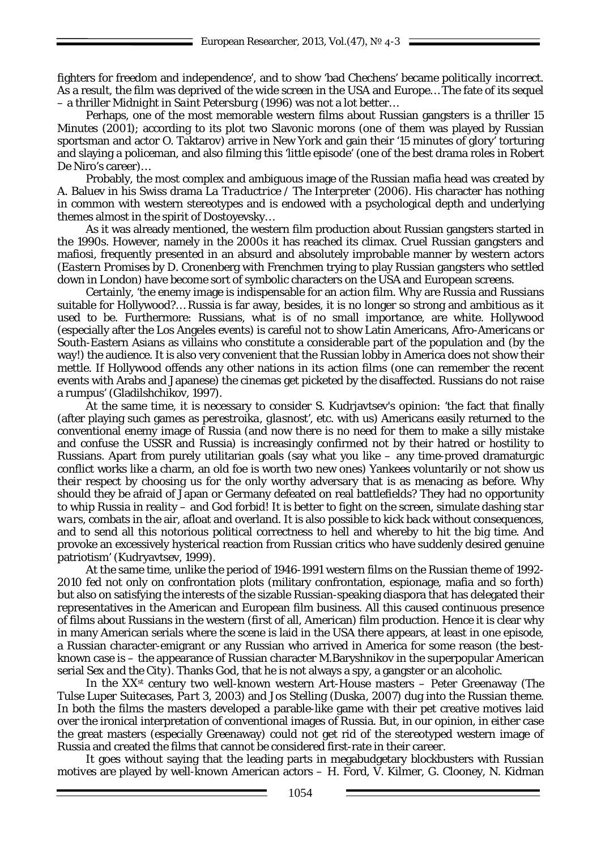fighters for freedom and independence', and to show 'bad Chechens' became *politically incorrect.*  As a result, the film was deprived of the wide screen in the USA and Europe… The fate of its sequel – a thriller *Midnight in Saint Petersburg* (1996) was not a lot better…

Perhaps, one of the most memorable western films about Russian gangsters is a thriller *15 Minutes* (2001); according to its plot two Slavonic morons (one of them was played by Russian sportsman and actor O. Taktarov) arrive in New York and gain their '15 minutes of glory' torturing and slaying a policeman, and also filming this 'little episode' (one of the best drama roles in Robert De Niro's career)…

Probably, the most complex and ambiguous image of the Russian mafia head was created by A. Baluev in his Swiss drama *La Traductrice / The Interpreter* (2006). His character has nothing in common with western stereotypes and is endowed with a psychological depth and underlying themes almost in the spirit of Dostoyevsky…

As it was already mentioned, the western film production about Russian gangsters started in the 1990s. However, namely in the 2000s it has reached its climax. Cruel Russian gangsters and mafiosi, frequently presented in an absurd and absolutely improbable manner by western actors (*Eastern Promises* by D. Cronenberg with Frenchmen trying to play Russian gangsters who settled down in London) have become sort of symbolic characters on the USA and European screens.

Certainly, 'the enemy image is indispensable for an action film. Why are Russia and Russians suitable for Hollywood?… Russia is far away, besides, it is no longer so strong and ambitious as it used to be. Furthermore: Russians, what is of no small importance, are white. Hollywood (especially after the Los Angeles events) is careful not to show Latin Americans, Afro-Americans or South-Eastern Asians as villains who constitute a considerable part of the population and (by the way!) the audience. It is also very convenient that the Russian lobby in America does not show their mettle. If Hollywood offends any other nations in its action films (one can remember the recent events with Arabs and Japanese) the cinemas get picketed by the disaffected. Russians do not raise a rumpus' (Gladilshchikov, 1997).

At the same time, it is necessary to consider S. Kudrjavtsev's opinion: 'the fact that finally (after playing such games as *perestroika, glasnost', etc.* with us) Americans easily returned to the conventional enemy image of Russia (and now there is no need for them to make a silly mistake and confuse the USSR and Russia) is increasingly confirmed not by their hatred or hostility to Russians. Apart from purely utilitarian goals (say what you like – any time-proved dramaturgic conflict works like a charm, an old foe is worth two new ones) Yankees voluntarily or not show us their respect by choosing us for the only worthy adversary that is as menacing as before. Why should they be afraid of Japan or Germany defeated on real battlefields? They had no opportunity to whip Russia in reality – and God forbid! It is better to fight on the screen, simulate dashing *star wars,* combats in the air, afloat and overland. It is also possible to *kick back* without consequences, and to send all this notorious political correctness to hell and whereby to hit the big time. And provoke an excessively hysterical reaction from Russian critics who have suddenly desired genuine patriotism' (Kudryavtsev, 1999).

At the same time, unlike the period of 1946-1991 western films on the Russian theme of 1992- 2010 fed not only on confrontation plots (military confrontation, espionage, mafia and so forth) but also on satisfying the interests of the sizable Russian-speaking diaspora that has delegated their representatives in the American and European film business. All this caused continuous presence of films about Russians in the western (first of all, American) film production. Hence it is clear why in many American serials where the scene is laid in the USA there appears, at least in one episode, a Russian character-emigrant or any Russian who arrived in America for some reason (the bestknown case is – the appearance of Russian character M.Baryshnikov in the superpopular American serial *Sex and the City*). Thanks God, that he is not always a spy, a gangster or an alcoholic.

In the XXst century two well-known western Art-House masters – Peter Greenaway (*The Tulse Luper Suitecases, Part 3, 2003*) and Jos Stelling (*Duska*, 2007) dug into the Russian theme. In both the films the masters developed a parable-like game with their pet creative motives laid over the ironical interpretation of conventional images of Russia. But, in our opinion, in either case the great masters (especially Greenaway) could not get rid of the stereotyped western image of Russia and created the films that cannot be considered first-rate in their career.

It goes without saying that the leading parts in megabudgetary blockbusters with *Russian motives* are played by well-known American actors – H. Ford, V. Kilmer, G. Clooney, N. Kidman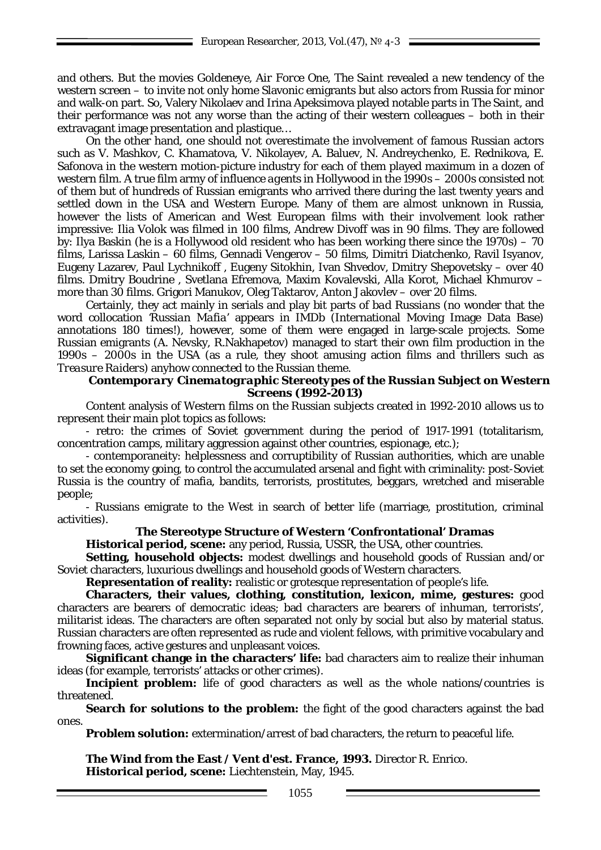and others. But the movies *Goldeneye, Air Force One, The Saint* revealed a new tendency of the western screen – to invite not only *home* Slavonic emigrants but also actors from Russia for minor and walk-on part. So, Valery Nikolaev and Irina Apeksimova played notable parts in *The Saint,* and their performance was not any worse than the acting of their western colleagues – both in their extravagant image presentation and plastique…

On the other hand, one should not overestimate the involvement of famous Russian actors such as V. Mashkov, C. Khamatova, V. Nikolayev, A. Baluev, N. Andreychenko, E. Rednikova, E. Safonova in the western motion-picture industry for each of them played maximum in a dozen of western film. A true film army of *influence agents* in Hollywood in the 1990s – 2000s consisted not of them but of hundreds of Russian emigrants who arrived there during the last twenty years and settled down in the USA and Western Europe. Many of them are almost unknown in Russia, however the lists of American and West European films with their involvement look rather impressive: Ilia Volok was filmed in 100 films, Andrew Divoff was in 90 films. They are followed by: Ilya Baskin (he is a Hollywood old resident who has been working there since the 1970s) – 70 films, Larissa Laskin – 60 films, Gennadi Vengerov – 50 films, Dimitri Diatchenko, Ravil Isyanov, Eugeny Lazarev, Paul Lychnikoff , Eugeny Sitokhin, Ivan Shvedov, Dmitry Shepovetsky – over 40 films. Dmitry Boudrine , Svetlana Efremova, Maxim Kovalevski, Alla Korot, Michael Khmurov – more than 30 films. Grigori Manukov, Oleg Taktarov, Anton Jakovlev – over 20 films.

Certainly, they act mainly in serials and play bit parts of *bad Russians* (no wonder that the word collocation *'Russian Mafia'* appears in IMDb (International Moving Image Data Base) annotations 180 times!), however, some of them were engaged in large-scale projects. Some Russian emigrants (A. Nevsky, R.Nakhapetov) managed to start their own film production in the 1990s – 2000s in the USA (as a rule, they shoot amusing action films and thrillers such as *Treasure Raiders*) anyhow connected to the Russian theme.

### *Contemporary Cinematographic Stereotypes of the Russian Subject on Western Screens (1992-2013)*

Content analysis of Western films on the Russian subjects created in 1992-2010 allows us to represent their main plot topics as follows:

- retro: the crimes of Soviet government during the period of 1917-1991 (totalitarism, concentration camps, military aggression against other countries, espionage, etc.);

- contemporaneity: helplessness and corruptibility of Russian authorities, which are unable to set the economy going, to control the accumulated arsenal and fight with criminality: post-Soviet Russia is the country of mafia, bandits, terrorists, prostitutes, beggars, wretched and miserable people;

- Russians emigrate to the West in search of better life (marriage, prostitution, criminal activities).

#### **The Stereotype Structure of Western 'Confrontational' Dramas**

**Historical period, scene:** any period, Russia, USSR, the USA, other countries.

**Setting, household objects:** modest dwellings and household goods of Russian and/or Soviet characters, luxurious dwellings and household goods of Western characters.

**Representation of reality:** realistic or grotesque representation of people's life.

**Characters, their values, clothing, constitution, lexicon, mime, gestures:** good characters are bearers of democratic ideas; bad characters are bearers of inhuman, terrorists', militarist ideas. The characters are often separated not only by social but also by material status. Russian characters are often represented as rude and violent fellows, with primitive vocabulary and frowning faces, active gestures and unpleasant voices.

**Significant change in the characters' life:** bad characters aim to realize their inhuman ideas (for example, terrorists' attacks or other crimes).

**Incipient problem:** life of good characters as well as the whole nations/countries is threatened.

**Search for solutions to the problem:** the fight of the good characters against the bad ones.

**Problem solution:** extermination/arrest of bad characters, the return to peaceful life.

**The Wind from the East / Vent d'est. France, 1993.** Director R. Enrico. **Historical period, scene:** Liechtenstein, May, 1945.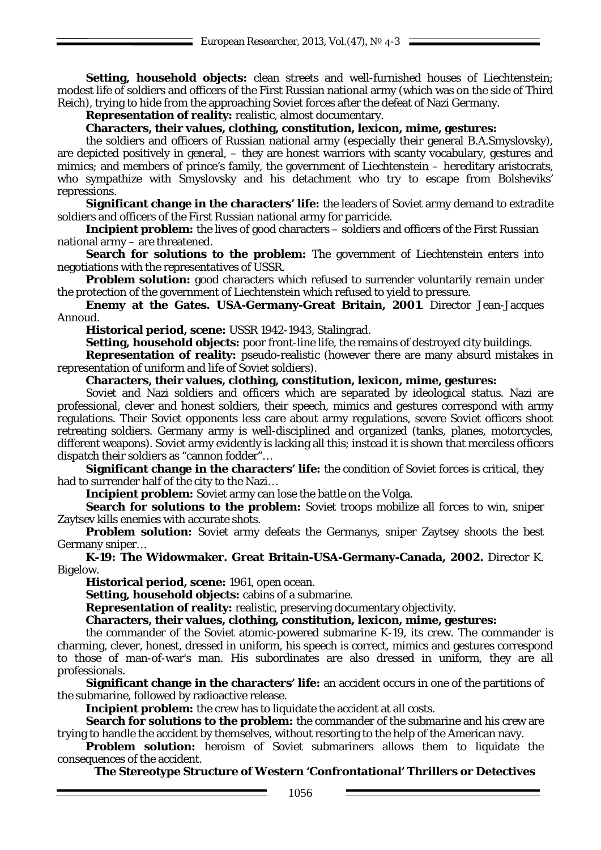Setting, household objects: clean streets and well-furnished houses of Liechtenstein; modest life of soldiers and officers of the First Russian national army (which was on the side of Third Reich), trying to hide from the approaching Soviet forces after the defeat of Nazi Germany.

**Representation of reality:** realistic, almost documentary.

**Characters, their values, clothing, constitution, lexicon, mime, gestures:**

the soldiers and officers of Russian national army (especially their general B.A.Smyslovsky), are depicted positively in general, – they are honest warriors with scanty vocabulary, gestures and mimics; and members of prince's family, the government of Liechtenstein – hereditary aristocrats, who sympathize with Smyslovsky and his detachment who try to escape from Bolsheviks' repressions.

**Significant change in the characters' life:** the leaders of Soviet army demand to extradite soldiers and officers of the First Russian national army for parricide.

**Incipient problem:** the lives of good characters – soldiers and officers of the First Russian national army – are threatened.

**Search for solutions to the problem:** The government of Liechtenstein enters into negotiations with the representatives of USSR.

**Problem solution:** good characters which refused to surrender voluntarily remain under the protection of the government of Liechtenstein which refused to yield to pressure.

**Enemy at the Gates. USA-Germany-Great Britain, 2001**. Director Jean-Jacques Annoud.

**Historical period, scene:** USSR 1942-1943, Stalingrad.

**Setting, household objects:** poor front-line life, the remains of destroyed city buildings.

**Representation of reality:** pseudo-realistic (however there are many absurd mistakes in representation of uniform and life of Soviet soldiers).

**Characters, their values, clothing, constitution, lexicon, mime, gestures:**

Soviet and Nazi soldiers and officers which are separated by ideological status. Nazi are professional, clever and honest soldiers, their speech, mimics and gestures correspond with army regulations. Their Soviet opponents less care about army regulations, severe Soviet officers shoot retreating soldiers. Germany army is well-disciplined and organized (tanks, planes, motorcycles, different weapons). Soviet army evidently is lacking all this; instead it is shown that merciless officers dispatch their soldiers as "cannon fodder"…

**Significant change in the characters' life:** the condition of Soviet forces is critical, they had to surrender half of the city to the Nazi…

**Incipient problem:** Soviet army can lose the battle on the Volga.

**Search for solutions to the problem:** Soviet troops mobilize all forces to win, sniper Zaytsev kills enemies with accurate shots.

**Problem solution:** Soviet army defeats the Germanys, sniper Zaytsey shoots the best Germany sniper…

**K-19: The Widowmaker. Great Britain-USA-Germany-Canada, 2002.** Director K. Bigelow.

**Historical period, scene:** 1961, open ocean.

**Setting, household objects:** cabins of a submarine.

**Representation of reality:** realistic, preserving documentary objectivity.

**Characters, their values, clothing, constitution, lexicon, mime, gestures:**

the commander of the Soviet atomic-powered submarine K-19, its crew. The commander is charming, clever, honest, dressed in uniform, his speech is correct, mimics and gestures correspond to those of man-of-war's man. His subordinates are also dressed in uniform, they are all professionals.

**Significant change in the characters' life:** an accident occurs in one of the partitions of the submarine, followed by radioactive release.

**Incipient problem:** the crew has to liquidate the accident at all costs.

Search for solutions to the problem: the commander of the submarine and his crew are trying to handle the accident by themselves, without resorting to the help of the American navy.

**Problem solution:** heroism of Soviet submariners allows them to liquidate the consequences of the accident.

#### **The Stereotype Structure of Western 'Confrontational' Thrillers or Detectives**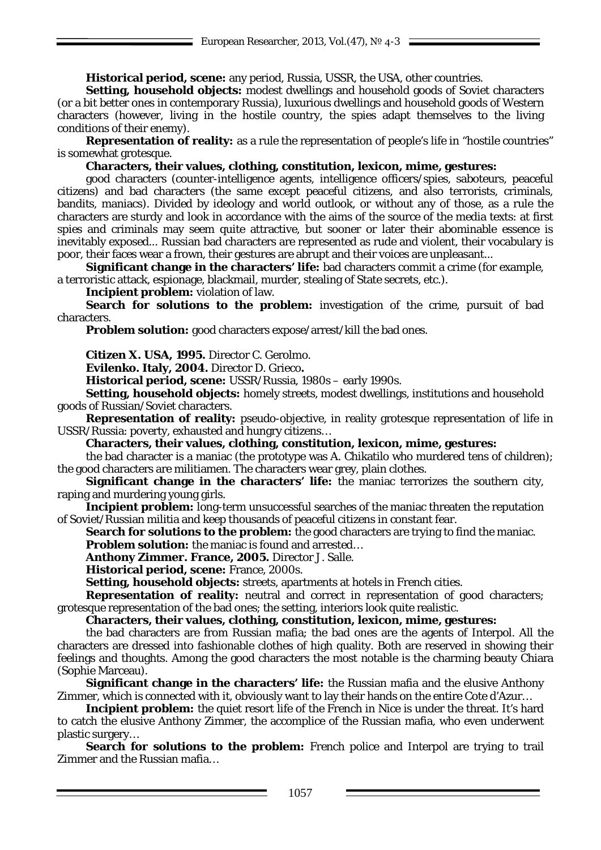**Historical period, scene:** any period, Russia, USSR, the USA, other countries.

**Setting, household objects:** modest dwellings and household goods of Soviet characters (or a bit better ones in contemporary Russia), luxurious dwellings and household goods of Western characters (however, living in the hostile country, the spies adapt themselves to the living conditions of their enemy).

**Representation of reality:** as a rule the representation of people's life in "hostile countries" is somewhat grotesque.

**Characters, their values, clothing, constitution, lexicon, mime, gestures:**

good characters (counter-intelligence agents, intelligence officers/spies, saboteurs, peaceful citizens) and bad characters (the same except peaceful citizens, and also terrorists, criminals, bandits, maniacs). Divided by ideology and world outlook, or without any of those, as a rule the characters are sturdy and look in accordance with the aims of the source of the media texts: at first spies and criminals may seem quite attractive, but sooner or later their abominable essence is inevitably exposed... Russian bad characters are represented as rude and violent, their vocabulary is poor, their faces wear a frown, their gestures are abrupt and their voices are unpleasant...

**Significant change in the characters' life:** bad characters commit a crime (for example, a terroristic attack, espionage, blackmail, murder, stealing of State secrets, etc.).

**Incipient problem:** violation of law.

**Search for solutions to the problem:** investigation of the crime, pursuit of bad characters.

**Problem solution:** good characters expose/arrest/kill the bad ones.

**Citizen X. USA, 1995.** Director C. Gerolmo.

**Evilenko. Italy, 2004.** Director D. Grieco**.**

**Historical period, scene:** USSR/Russia, 1980s – early 1990s.

**Setting, household objects:** homely streets, modest dwellings, institutions and household goods of Russian/Soviet characters.

**Representation of reality:** pseudo-objective, in reality grotesque representation of life in USSR/Russia: poverty, exhausted and hungry citizens…

**Characters, their values, clothing, constitution, lexicon, mime, gestures:**

the bad character is a maniac (the prototype was A. Chikatilo who murdered tens of children); the good characters are militiamen. The characters wear grey, plain clothes.

**Significant change in the characters' life:** the maniac terrorizes the southern city, raping and murdering young girls.

**Incipient problem:** long-term unsuccessful searches of the maniac threaten the reputation of Soviet/Russian militia and keep thousands of peaceful citizens in constant fear.

**Search for solutions to the problem:** the good characters are trying to find the maniac.

**Problem solution:** the maniac is found and arrested…

**Anthony Zimmer. France, 2005.** Director J. Salle.

**Historical period, scene:** France, 2000s.

**Setting, household objects:** streets, apartments at hotels in French cities.

**Representation of reality:** neutral and correct in representation of good characters; grotesque representation of the bad ones; the setting, interiors look quite realistic.

**Characters, their values, clothing, constitution, lexicon, mime, gestures:**

the bad characters are from Russian mafia; the bad ones are the agents of Interpol. All the characters are dressed into fashionable clothes of high quality. Both are reserved in showing their feelings and thoughts. Among the good characters the most notable is the charming beauty Chiara (Sophie Marceau).

**Significant change in the characters' life:** the Russian mafia and the elusive Anthony Zimmer, which is connected with it, obviously want to lay their hands on the entire Cote d'Azur…

**Incipient problem:** the quiet resort life of the French in Nice is under the threat. It's hard to catch the elusive Anthony Zimmer, the accomplice of the Russian mafia, who even underwent plastic surgery…

**Search for solutions to the problem:** French police and Interpol are trying to trail Zimmer and the Russian mafia…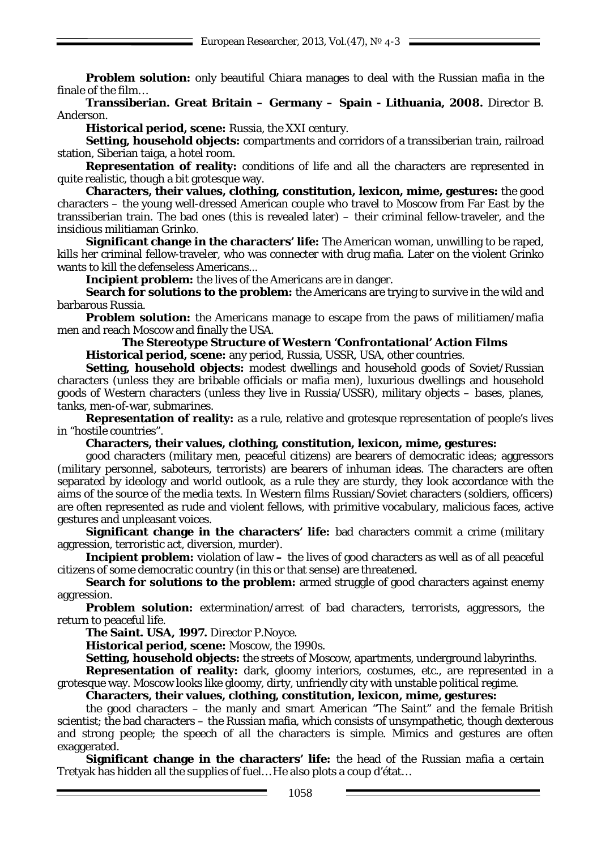**Problem solution:** only beautiful Chiara manages to deal with the Russian mafia in the finale of the film…

**Transsiberian. Great Britain – Germany – Spain - Lithuania, 2008.** Director B. Anderson.

**Historical period, scene:** Russia, the XXI century.

**Setting, household objects:** compartments and corridors of a transsiberian train, railroad station, Siberian taiga, a hotel room.

**Representation of reality:** conditions of life and all the characters are represented in quite realistic, though a bit grotesque way.

**Characters, their values, clothing, constitution, lexicon, mime, gestures:** the good characters – the young well-dressed American couple who travel to Moscow from Far East by the transsiberian train. The bad ones (this is revealed later) – their criminal fellow-traveler, and the insidious militiaman Grinko.

**Significant change in the characters' life:** The American woman, unwilling to be raped, kills her criminal fellow-traveler, who was connecter with drug mafia. Later on the violent Grinko wants to kill the defenseless Americans...

**Incipient problem:** the lives of the Americans are in danger.

**Search for solutions to the problem:** the Americans are trying to survive in the wild and barbarous Russia.

**Problem solution:** the Americans manage to escape from the paws of militiamen/mafia men and reach Moscow and finally the USA.

**The Stereotype Structure of Western 'Confrontational' Action Films**

**Historical period, scene:** any period, Russia, USSR, USA, other countries.

**Setting, household objects:** modest dwellings and household goods of Soviet/Russian characters (unless they are bribable officials or mafia men), luxurious dwellings and household goods of Western characters (unless they live in Russia/USSR), military objects – bases, planes, tanks, men-of-war, submarines.

**Representation of reality:** as a rule, relative and grotesque representation of people's lives in "hostile countries".

**Characters, their values, clothing, constitution, lexicon, mime, gestures:**

good characters (military men, peaceful citizens) are bearers of democratic ideas; aggressors (military personnel, saboteurs, terrorists) are bearers of inhuman ideas. The characters are often separated by ideology and world outlook, as a rule they are sturdy, they look accordance with the aims of the source of the media texts. In Western films Russian/Soviet characters (soldiers, officers) are often represented as rude and violent fellows, with primitive vocabulary, malicious faces, active gestures and unpleasant voices.

**Significant change in the characters' life:** bad characters commit a crime (military aggression, terroristic act, diversion, murder).

**Incipient problem:** violation of law – the lives of good characters as well as of all peaceful citizens of some democratic country (in this or that sense) are threatened.

**Search for solutions to the problem:** armed struggle of good characters against enemy aggression.

**Problem solution:** extermination/arrest of bad characters, terrorists, aggressors, the return to peaceful life.

**The Saint. USA, 1997.** Director P.Noyce.

**Historical period, scene:** Moscow, the 1990s.

**Setting, household objects:** the streets of Moscow, apartments, underground labyrinths.

**Representation of reality:** dark, gloomy interiors, costumes, etc., are represented in a grotesque way. Moscow looks like gloomy, dirty, unfriendly city with unstable political regime.

**Characters, their values, clothing, constitution, lexicon, mime, gestures:**

the good characters – the manly and smart American "The Saint" and the female British scientist; the bad characters – the Russian mafia, which consists of unsympathetic, though dexterous and strong people; the speech of all the characters is simple. Mimics and gestures are often exaggerated.

**Significant change in the characters' life:** the head of the Russian mafia a certain Tretyak has hidden all the supplies of fuel… He also plots a coup d'état…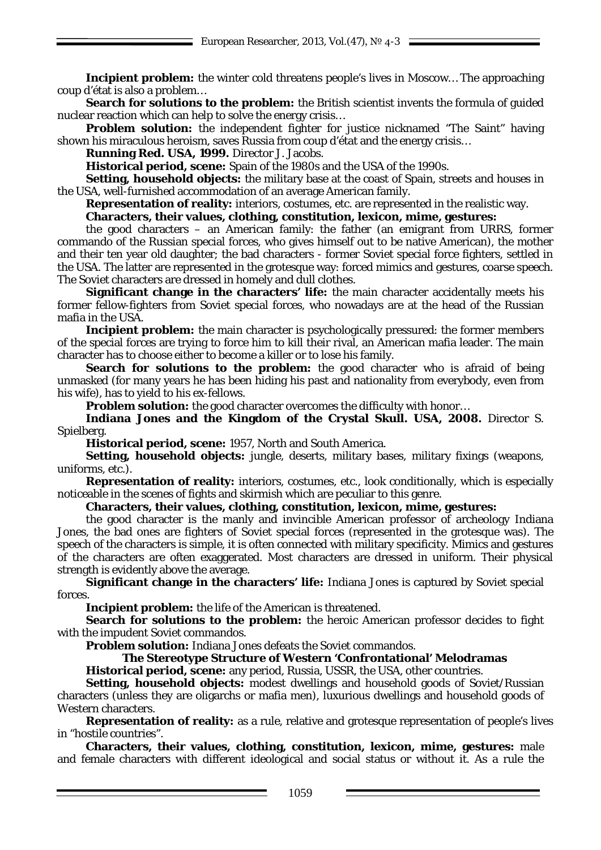**Incipient problem:** the winter cold threatens people's lives in Moscow... The approaching coup d'état is also a problem…

Search for solutions to the problem: the British scientist invents the formula of guided nuclear reaction which can help to solve the energy crisis…

**Problem solution:** the independent fighter for justice nicknamed "The Saint" having shown his miraculous heroism, saves Russia from coup d'état and the energy crisis…

**Running Red. USA, 1999.** Director J. Jacobs.

**Historical period, scene:** Spain of the 1980s and the USA of the 1990s.

**Setting, household objects:** the military base at the coast of Spain, streets and houses in the USA, well-furnished accommodation of an average American family.

**Representation of reality:** interiors, costumes, etc. are represented in the realistic way.

### **Characters, their values, clothing, constitution, lexicon, mime, gestures:**

the good characters – an American family: the father (an emigrant from URRS, former commando of the Russian special forces, who gives himself out to be native American), the mother and their ten year old daughter; the bad characters - former Soviet special force fighters, settled in the USA. The latter are represented in the grotesque way: forced mimics and gestures, coarse speech. The Soviet characters are dressed in homely and dull clothes.

**Significant change in the characters' life:** the main character accidentally meets his former fellow-fighters from Soviet special forces, who nowadays are at the head of the Russian mafia in the USA.

**Incipient problem:** the main character is psychologically pressured: the former members of the special forces are trying to force him to kill their rival, an American mafia leader. The main character has to choose either to become a killer or to lose his family.

**Search for solutions to the problem:** the good character who is afraid of being unmasked (for many years he has been hiding his past and nationality from everybody, even from his wife), has to yield to his ex-fellows.

**Problem solution:** the good character overcomes the difficulty with honor...

**Indiana Jones and the Kingdom of the Crystal Skull. USA, 2008.** Director S. Spielberg.

**Historical period, scene:** 1957, North and South America.

**Setting, household objects:** jungle, deserts, military bases, military fixings (weapons, uniforms, etc.).

**Representation of reality:** interiors, costumes, etc., look conditionally, which is especially noticeable in the scenes of fights and skirmish which are peculiar to this genre.

### **Characters, their values, clothing, constitution, lexicon, mime, gestures:**

the good character is the manly and invincible American professor of archeology Indiana Jones, the bad ones are fighters of Soviet special forces (represented in the grotesque was). The speech of the characters is simple, it is often connected with military specificity. Mimics and gestures of the characters are often exaggerated. Most characters are dressed in uniform. Their physical strength is evidently above the average.

**Significant change in the characters' life:** Indiana Jones is captured by Soviet special forces.

**Incipient problem:** the life of the American is threatened.

**Search for solutions to the problem:** the heroic American professor decides to fight with the impudent Soviet commandos.

**Problem solution:** Indiana Jones defeats the Soviet commandos.

**The Stereotype Structure of Western 'Confrontational' Melodramas**

**Historical period, scene:** any period, Russia, USSR, the USA, other countries.

**Setting, household objects:** modest dwellings and household goods of Soviet/Russian characters (unless they are oligarchs or mafia men), luxurious dwellings and household goods of Western characters.

**Representation of reality:** as a rule, relative and grotesque representation of people's lives in "hostile countries".

**Characters, their values, clothing, constitution, lexicon, mime, gestures:** male and female characters with different ideological and social status or without it. As a rule the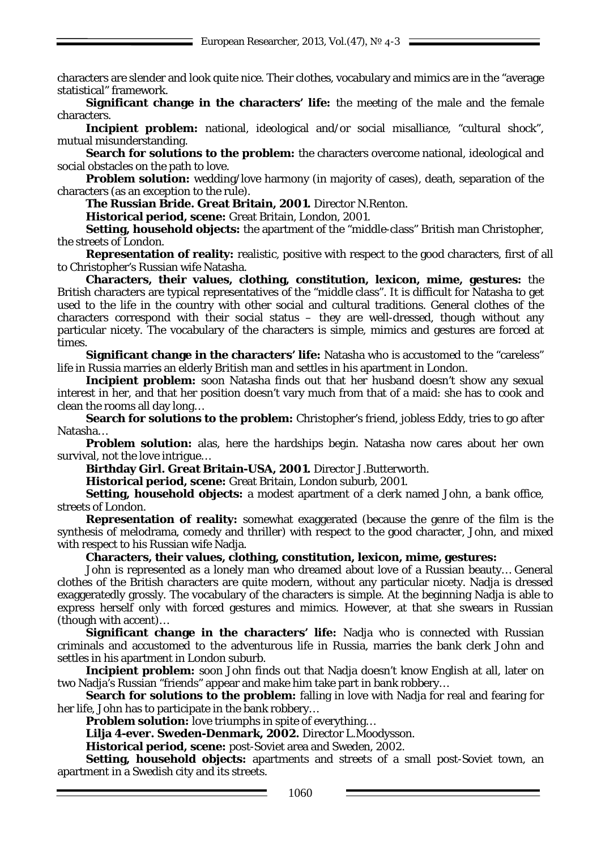characters are slender and look quite nice. Their clothes, vocabulary and mimics are in the "average statistical" framework.

**Significant change in the characters' life:** the meeting of the male and the female characters.

**Incipient problem:** national, ideological and/or social misalliance, "cultural shock", mutual misunderstanding.

**Search for solutions to the problem:** the characters overcome national, ideological and social obstacles on the path to love.

**Problem solution:** wedding/love harmony (in majority of cases), death, separation of the characters (as an exception to the rule).

**The Russian Bride. Great Britain, 2001.** Director N.Renton.

**Historical period, scene:** Great Britain, London, 2001.

Setting, household objects: the apartment of the "middle-class" British man Christopher, the streets of London.

**Representation of reality:** realistic, positive with respect to the good characters, first of all to Christopher's Russian wife Natasha.

**Characters, their values, clothing, constitution, lexicon, mime, gestures:** the British characters are typical representatives of the "middle class". It is difficult for Natasha to get used to the life in the country with other social and cultural traditions. General clothes of the characters correspond with their social status – they are well-dressed, though without any particular nicety. The vocabulary of the characters is simple, mimics and gestures are forced at times.

**Significant change in the characters' life:** Natasha who is accustomed to the "careless" life in Russia marries an elderly British man and settles in his apartment in London.

**Incipient problem:** soon Natasha finds out that her husband doesn't show any sexual interest in her, and that her position doesn't vary much from that of a maid: she has to cook and clean the rooms all day long…

**Search for solutions to the problem:** Christopher's friend, jobless Eddy, tries to go after Natasha…

**Problem solution:** alas, here the hardships begin. Natasha now cares about her own survival, not the love intrigue…

**Birthday Girl. Great Britain-USA, 2001.** Director J.Butterworth.

**Historical period, scene:** Great Britain, London suburb, 2001.

**Setting, household objects:** a modest apartment of a clerk named John, a bank office, streets of London.

**Representation of reality:** somewhat exaggerated (because the genre of the film is the synthesis of melodrama, comedy and thriller) with respect to the good character, John, and mixed with respect to his Russian wife Nadja.

**Characters, their values, clothing, constitution, lexicon, mime, gestures:**

John is represented as a lonely man who dreamed about love of a Russian beauty… General clothes of the British characters are quite modern, without any particular nicety. Nadja is dressed exaggeratedly grossly. The vocabulary of the characters is simple. At the beginning Nadja is able to express herself only with forced gestures and mimics. However, at that she swears in Russian (though with accent)…

**Significant change in the characters' life:** Nadja who is connected with Russian criminals and accustomed to the adventurous life in Russia, marries the bank clerk John and settles in his apartment in London suburb.

**Incipient problem:** soon John finds out that Nadja doesn't know English at all, later on two Nadja's Russian "friends" appear and make him take part in bank robbery…

**Search for solutions to the problem:** falling in love with Nadja for real and fearing for her life, John has to participate in the bank robbery…

**Problem solution:** love triumphs in spite of everything...

**Lilja 4-ever. Sweden-Denmark, 2002.** Director L.Moodysson.

**Historical period, scene:** post-Soviet area and Sweden, 2002.

**Setting, household objects:** apartments and streets of a small post-Soviet town, an apartment in a Swedish city and its streets.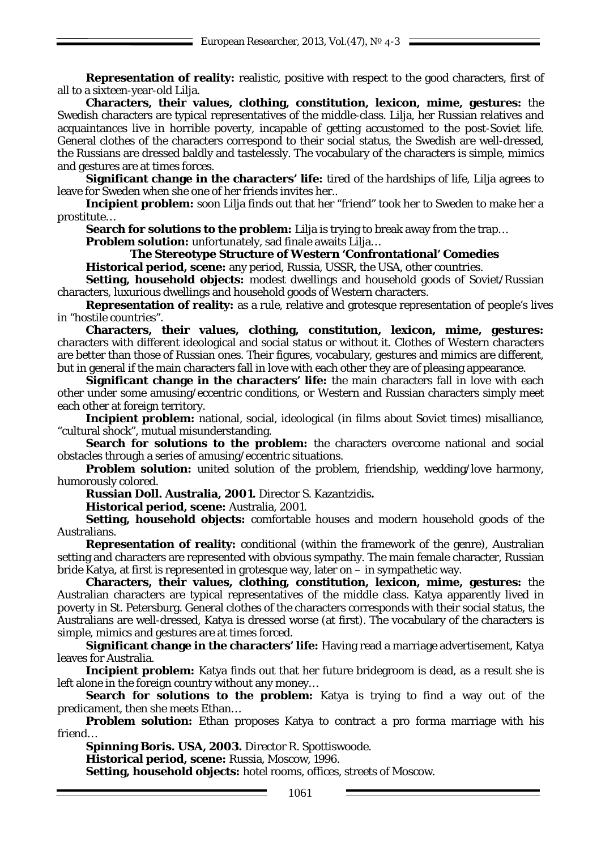**Representation of reality:** realistic, positive with respect to the good characters, first of all to a sixteen-year-old Lilja.

**Characters, their values, clothing, constitution, lexicon, mime, gestures:** the Swedish characters are typical representatives of the middle-class. Lilja, her Russian relatives and acquaintances live in horrible poverty, incapable of getting accustomed to the post-Soviet life. General clothes of the characters correspond to their social status, the Swedish are well-dressed, the Russians are dressed baldly and tastelessly. The vocabulary of the characters is simple, mimics and gestures are at times forces.

**Significant change in the characters' life:** tired of the hardships of life, Lilja agrees to leave for Sweden when she one of her friends invites her..

**Incipient problem:** soon Lilja finds out that her "friend" took her to Sweden to make her a prostitute…

**Search for solutions to the problem:** Lilja is trying to break away from the trap...

**Problem solution:** unfortunately, sad finale awaits Lilja…

#### **The Stereotype Structure of Western 'Confrontational' Comedies**

**Historical period, scene:** any period, Russia, USSR, the USA, other countries.

**Setting, household objects:** modest dwellings and household goods of Soviet/Russian characters, luxurious dwellings and household goods of Western characters.

**Representation of reality:** as a rule, relative and grotesque representation of people's lives in "hostile countries".

**Characters, their values, clothing, constitution, lexicon, mime, gestures:**  characters with different ideological and social status or without it. Clothes of Western characters are better than those of Russian ones. Their figures, vocabulary, gestures and mimics are different, but in general if the main characters fall in love with each other they are of pleasing appearance.

**Significant change in the characters' life:** the main characters fall in love with each other under some amusing/eccentric conditions, or Western and Russian characters simply meet each other at foreign territory.

**Incipient problem:** national, social, ideological (in films about Soviet times) misalliance, "cultural shock", mutual misunderstanding.

Search for solutions to the problem: the characters overcome national and social obstacles through a series of amusing/eccentric situations.

**Problem solution:** united solution of the problem, friendship, wedding/love harmony, humorously colored.

**Russian Doll. Australia, 2001.** Director S. Kazantzidis**.**

**Historical period, scene:** Australia, 2001.

**Setting, household objects:** comfortable houses and modern household goods of the Australians.

**Representation of reality:** conditional (within the framework of the genre), Australian setting and characters are represented with obvious sympathy. The main female character, Russian bride Katya, at first is represented in grotesque way, later on – in sympathetic way.

**Characters, their values, clothing, constitution, lexicon, mime, gestures:** the Australian characters are typical representatives of the middle class. Katya apparently lived in poverty in St. Petersburg. General clothes of the characters corresponds with their social status, the Australians are well-dressed, Katya is dressed worse (at first). The vocabulary of the characters is simple, mimics and gestures are at times forced.

**Significant change in the characters' life:** Having read a marriage advertisement, Katya leaves for Australia.

**Incipient problem:** Katya finds out that her future bridegroom is dead, as a result she is left alone in the foreign country without any money…

**Search for solutions to the problem:** Katya is trying to find a way out of the predicament, then she meets Ethan…

**Problem solution:** Ethan proposes Katya to contract a pro forma marriage with his friend…

**Spinning Boris. USA, 2003.** Director R. Spottiswoode.

**Historical period, scene:** Russia, Moscow, 1996.

**Setting, household objects:** hotel rooms, offices, streets of Moscow.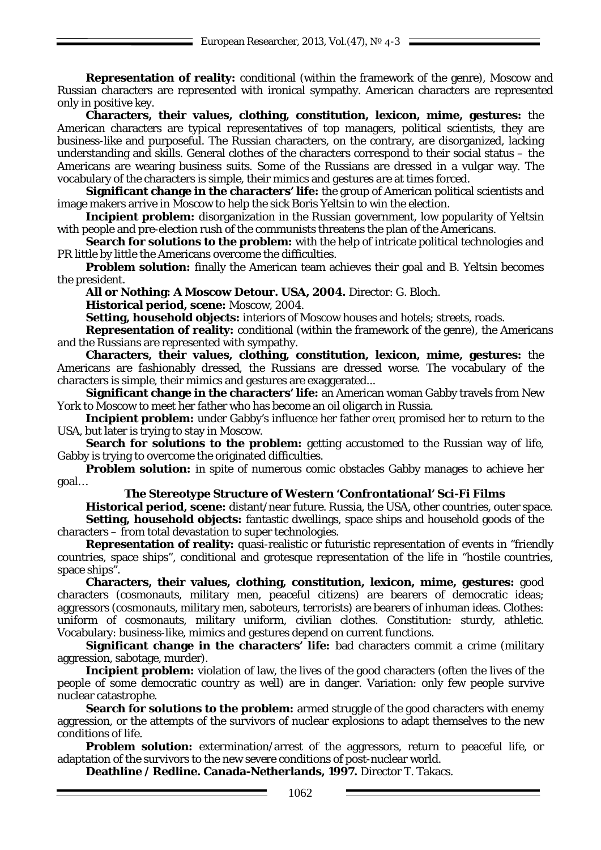**Representation of reality:** conditional (within the framework of the genre), Moscow and Russian characters are represented with ironical sympathy. American characters are represented only in positive key.

**Characters, their values, clothing, constitution, lexicon, mime, gestures:** the American characters are typical representatives of top managers, political scientists, they are business-like and purposeful. The Russian characters, on the contrary, are disorganized, lacking understanding and skills. General clothes of the characters correspond to their social status – the Americans are wearing business suits. Some of the Russians are dressed in a vulgar way. The vocabulary of the characters is simple, their mimics and gestures are at times forced.

**Significant change in the characters' life:** the group of American political scientists and image makers arrive in Moscow to help the sick Boris Yeltsin to win the election.

**Incipient problem:** disorganization in the Russian government, low popularity of Yeltsin with people and pre-election rush of the communists threatens the plan of the Americans.

**Search for solutions to the problem:** with the help of intricate political technologies and PR little by little the Americans overcome the difficulties.

**Problem solution:** finally the American team achieves their goal and B. Yeltsin becomes the president.

**All or Nothing: A Moscow Detour. USA, 2004.** Director: G. Bloch.

**Historical period, scene:** Moscow, 2004.

**Setting, household objects:** interiors of Moscow houses and hotels; streets, roads.

**Representation of reality:** conditional (within the framework of the genre), the Americans and the Russians are represented with sympathy.

**Characters, their values, clothing, constitution, lexicon, mime, gestures:** the Americans are fashionably dressed, the Russians are dressed worse. The vocabulary of the characters is simple, their mimics and gestures are exaggerated...

**Significant change in the characters' life:** an American woman Gabby travels from New York to Moscow to meet her father who has become an oil oligarch in Russia.

**Incipient problem:** under Gabby's influence her father отец promised her to return to the USA, but later is trying to stay in Moscow.

**Search for solutions to the problem:** getting accustomed to the Russian way of life, Gabby is trying to overcome the originated difficulties.

**Problem solution:** in spite of numerous comic obstacles Gabby manages to achieve her goal…

### **The Stereotype Structure of Western 'Confrontational' Sci-Fi Films**

**Historical period, scene:** distant/near future. Russia, the USA, other countries, outer space. **Setting, household objects:** fantastic dwellings, space ships and household goods of the characters – from total devastation to super technologies.

**Representation of reality:** quasi-realistic or futuristic representation of events in "friendly countries, space ships", conditional and grotesque representation of the life in "hostile countries, space ships".

**Characters, their values, clothing, constitution, lexicon, mime, gestures:** good characters (cosmonauts, military men, peaceful citizens) are bearers of democratic ideas; aggressors (cosmonauts, military men, saboteurs, terrorists) are bearers of inhuman ideas. Clothes: uniform of cosmonauts, military uniform, civilian clothes. Constitution: sturdy, athletic. Vocabulary: business-like, mimics and gestures depend on current functions.

**Significant change in the characters' life:** bad characters commit a crime (military aggression, sabotage, murder).

**Incipient problem:** violation of law, the lives of the good characters (often the lives of the people of some democratic country as well) are in danger. Variation: only few people survive nuclear catastrophe.

**Search for solutions to the problem:** armed struggle of the good characters with enemy aggression, or the attempts of the survivors of nuclear explosions to adapt themselves to the new conditions of life.

**Problem solution:** extermination/arrest of the aggressors, return to peaceful life, or adaptation of the survivors to the new severe conditions of post-nuclear world.

**Deathline / Redline. Canada-Netherlands, 1997.** Director T. Takacs.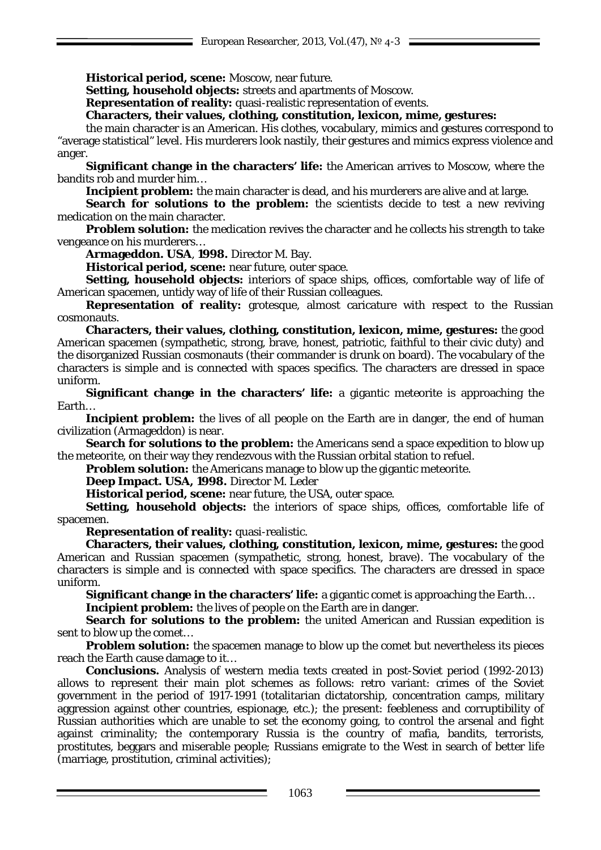**Historical period, scene:** Moscow, near future.

**Setting, household objects:** streets and apartments of Moscow.

**Representation of reality:** quasi-realistic representation of events.

# **Characters, their values, clothing, constitution, lexicon, mime, gestures:**

the main character is an American. His clothes, vocabulary, mimics and gestures correspond to "average statistical" level. His murderers look nastily, their gestures and mimics express violence and anger.

**Significant change in the characters' life:** the American arrives to Moscow, where the bandits rob and murder him…

**Incipient problem:** the main character is dead, and his murderers are alive and at large.

**Search for solutions to the problem:** the scientists decide to test a new reviving medication on the main character.

**Problem solution:** the medication revives the character and he collects his strength to take vengeance on his murderers…

**Armageddon. USA**, **[1998.](http://www.imdb.com/Sections/Years/1998/)** Director M. Bay.

**Historical period, scene:** near future, outer space.

**Setting, household objects:** interiors of space ships, offices, comfortable way of life of American spacemen, untidy way of life of their Russian colleagues.

**Representation of reality:** grotesque, almost caricature with respect to the Russian cosmonauts.

**Characters, their values, clothing, constitution, lexicon, mime, gestures:** the good American spacemen (sympathetic, strong, brave, honest, patriotic, faithful to their civic duty) and the disorganized Russian cosmonauts (their commander is drunk on board). The vocabulary of the characters is simple and is connected with spaces specifics. The characters are dressed in space uniform.

**Significant change in the characters' life:** a gigantic meteorite is approaching the Earth…

**Incipient problem:** the lives of all people on the Earth are in danger, the end of human civilization (Armageddon) is near.

**Search for solutions to the problem:** the Americans send a space expedition to blow up the meteorite, on their way they rendezvous with the Russian orbital station to refuel.

**Problem solution:** the Americans manage to blow up the gigantic meteorite.

**Deep Impact. USA, 1998.** Director M. Leder

**Historical period, scene:** near future, the USA, outer space.

Setting, household objects: the interiors of space ships, offices, comfortable life of spacemen.

**Representation of reality:** quasi-realistic.

**Characters, their values, clothing, constitution, lexicon, mime, gestures:** the good American and Russian spacemen (sympathetic, strong, honest, brave). The vocabulary of the characters is simple and is connected with space specifics. The characters are dressed in space uniform.

**Significant change in the characters' life:** a gigantic comet is approaching the Earth…

**Incipient problem:** the lives of people on the Earth are in danger.

**Search for solutions to the problem:** the united American and Russian expedition is sent to blow up the comet…

**Problem solution:** the spacemen manage to blow up the comet but nevertheless its pieces reach the Earth cause damage to it…

**Conclusions.** Analysis of western media texts created in post-Soviet period (1992-2013) allows to represent their main plot schemes as follows: retro variant: crimes of the Soviet government in the period of 1917-1991 (totalitarian dictatorship, concentration camps, military aggression against other countries, espionage, etc.); the present: feebleness and corruptibility of Russian authorities which are unable to set the economy going, to control the arsenal and fight against criminality; the contemporary Russia is the country of mafia, bandits, terrorists, prostitutes, beggars and miserable people; Russians emigrate to the West in search of better life (marriage, prostitution, criminal activities);